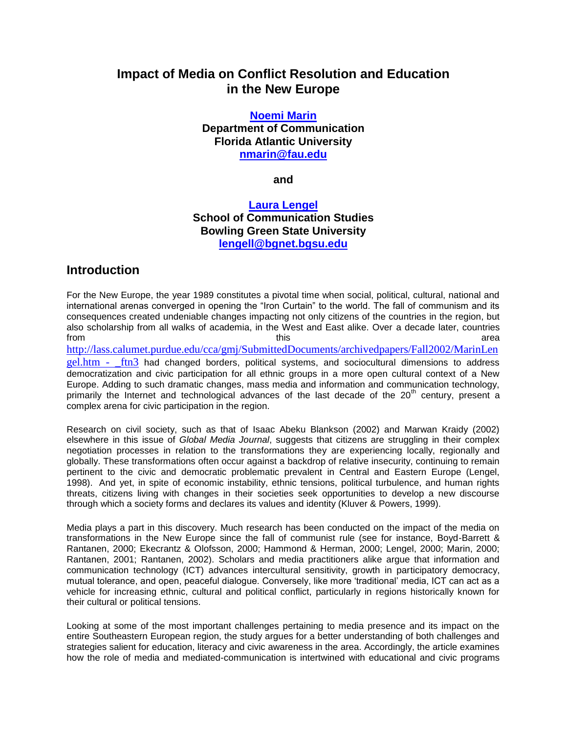# **Impact of Media on Conflict Resolution and Education in the New Europe**

**[Noemi Marin](http://lass.calumet.purdue.edu/cca/gmj/SubmittedDocuments/archivedpapers/Fall2002/MarinLengel.htm#Noemi%20Marin) Department of Communication Florida Atlantic University [nmarin@fau.edu](mailto:nmarin@fau.edu)**

**and**

## **[Laura Lengel](http://lass.calumet.purdue.edu/cca/gmj/SubmittedDocuments/archivedpapers/Fall2002/MarinLengel.htm#Laura%20Lengel) School of Communication Studies Bowling Green State University [lengell@bgnet.bgsu.edu](mailto:lengell@bgnet.bgsu.edu)**

# **Introduction**

For the New Europe, the year 1989 constitutes a pivotal time when social, political, cultural, national and international arenas converged in opening the "Iron Curtain" to the world. The fall of communism and its consequences created undeniable changes impacting not only citizens of the countries in the region, but also scholarship from all walks of academia, in the West and East alike. Over a decade later, countries from this area [http://lass.calumet.purdue.edu/cca/gmj/SubmittedDocuments/archivedpapers/Fall2002/MarinLen](http://lass.calumet.purdue.edu/cca/gmj/SubmittedDocuments/archivedpapers/Fall2002/MarinLengel.htm#_ftn3) [gel.htm -](http://lass.calumet.purdue.edu/cca/gmj/SubmittedDocuments/archivedpapers/Fall2002/MarinLengel.htm#_ftn3) ftn3 had changed borders, political systems, and sociocultural dimensions to address democratization and civic participation for all ethnic groups in a more open cultural context of a New

Europe. Adding to such dramatic changes, mass media and information and communication technology, primarily the Internet and technological advances of the last decade of the  $20<sup>th</sup>$  century, present a complex arena for civic participation in the region.

Research on civil society, such as that of Isaac Abeku Blankson (2002) and Marwan Kraidy (2002) elsewhere in this issue of *Global Media Journal*, suggests that citizens are struggling in their complex negotiation processes in relation to the transformations they are experiencing locally, regionally and globally. These transformations often occur against a backdrop of relative insecurity, continuing to remain pertinent to the civic and democratic problematic prevalent in Central and Eastern Europe (Lengel, 1998). And yet, in spite of economic instability, ethnic tensions, political turbulence, and human rights threats, citizens living with changes in their societies seek opportunities to develop a new discourse through which a society forms and declares its values and identity (Kluver & Powers, 1999).

Media plays a part in this discovery. Much research has been conducted on the impact of the media on transformations in the New Europe since the fall of communist rule (see for instance, Boyd-Barrett & Rantanen, 2000; Ekecrantz & Olofsson, 2000; Hammond & Herman, 2000; Lengel, 2000; Marin, 2000; Rantanen, 2001; Rantanen, 2002). Scholars and media practitioners alike argue that information and communication technology (ICT) advances intercultural sensitivity, growth in participatory democracy, mutual tolerance, and open, peaceful dialogue. Conversely, like more 'traditional' media, ICT can act as a vehicle for increasing ethnic, cultural and political conflict, particularly in regions historically known for their cultural or political tensions.

Looking at some of the most important challenges pertaining to media presence and its impact on the entire Southeastern European region, the study argues for a better understanding of both challenges and strategies salient for education, literacy and civic awareness in the area. Accordingly, the article examines how the role of media and mediated-communication is intertwined with educational and civic programs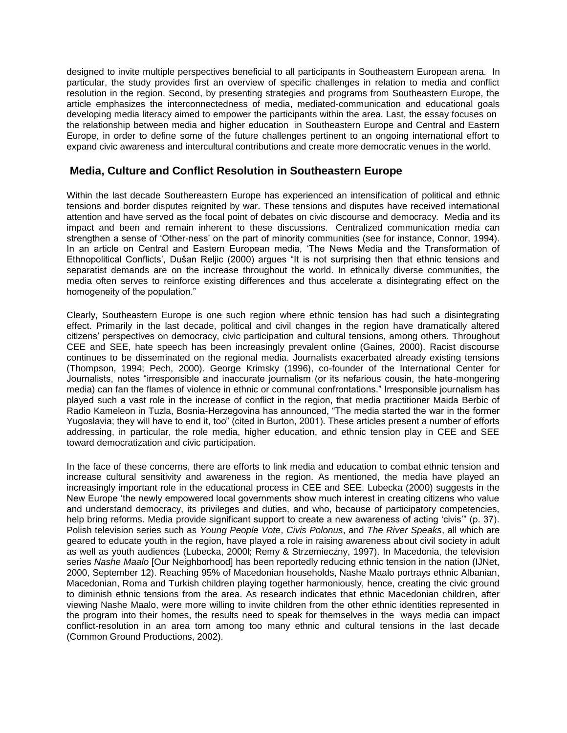designed to invite multiple perspectives beneficial to all participants in Southeastern European arena. In particular, the study provides first an overview of specific challenges in relation to media and conflict resolution in the region. Second, by presenting strategies and programs from Southeastern Europe, the article emphasizes the interconnectedness of media, mediated-communication and educational goals developing media literacy aimed to empower the participants within the area. Last, the essay focuses on the relationship between media and higher education in Southeastern Europe and Central and Eastern Europe, in order to define some of the future challenges pertinent to an ongoing international effort to expand civic awareness and intercultural contributions and create more democratic venues in the world.

### **Media, Culture and Conflict Resolution in Southeastern Europe**

Within the last decade Southereastern Europe has experienced an intensification of political and ethnic tensions and border disputes reignited by war. These tensions and disputes have received international attention and have served as the focal point of debates on civic discourse and democracy. Media and its impact and been and remain inherent to these discussions. Centralized communication media can strengthen a sense of 'Other-ness' on the part of minority communities (see for instance, Connor, 1994). In an article on Central and Eastern European media, 'The News Media and the Transformation of Ethnopolitical Conflicts', Dušan Reljic (2000) argues "It is not surprising then that ethnic tensions and separatist demands are on the increase throughout the world. In ethnically diverse communities, the media often serves to reinforce existing differences and thus accelerate a disintegrating effect on the homogeneity of the population."

Clearly, Southeastern Europe is one such region where ethnic tension has had such a disintegrating effect. Primarily in the last decade, political and civil changes in the region have dramatically altered citizens' perspectives on democracy, civic participation and cultural tensions, among others. Throughout CEE and SEE, hate speech has been increasingly prevalent online (Gaines, 2000). Racist discourse continues to be disseminated on the regional media. Journalists exacerbated already existing tensions (Thompson, 1994; Pech, 2000). George Krimsky (1996), co-founder of the International Center for Journalists, notes "irresponsible and inaccurate journalism (or its nefarious cousin, the hate-mongering media) can fan the flames of violence in ethnic or communal confrontations." Irresponsible journalism has played such a vast role in the increase of conflict in the region, that media practitioner Maida Berbic of Radio Kameleon in Tuzla, Bosnia-Herzegovina has announced, "The media started the war in the former Yugoslavia; they will have to end it, too" (cited in Burton, 2001). These articles present a number of efforts addressing, in particular, the role media, higher education, and ethnic tension play in CEE and SEE toward democratization and civic participation.

In the face of these concerns, there are efforts to link media and education to combat ethnic tension and increase cultural sensitivity and awareness in the region. As mentioned, the media have played an increasingly important role in the educational process in CEE and SEE. Lubecka (2000) suggests in the New Europe 'the newly empowered local governments show much interest in creating citizens who value and understand democracy, its privileges and duties, and who, because of participatory competencies, help bring reforms. Media provide significant support to create a new awareness of acting 'civis'" (p. 37). Polish television series such as *Young People Vote*, *Civis Polonus*, and *The River Speaks*, all which are geared to educate youth in the region, have played a role in raising awareness about civil society in adult as well as youth audiences (Lubecka, 2000l; Remy & Strzemieczny, 1997). In Macedonia, the television series *Nashe Maalo* [Our Neighborhood] has been reportedly reducing ethnic tension in the nation (IJNet, 2000, September 12). Reaching 95% of Macedonian households, Nashe Maalo portrays ethnic Albanian, Macedonian, Roma and Turkish children playing together harmoniously, hence, creating the civic ground to diminish ethnic tensions from the area. As research indicates that ethnic Macedonian children, after viewing Nashe Maalo, were more willing to invite children from the other ethnic identities represented in the program into their homes, the results need to speak for themselves in the ways media can impact conflict-resolution in an area torn among too many ethnic and cultural tensions in the last decade (Common Ground Productions, 2002).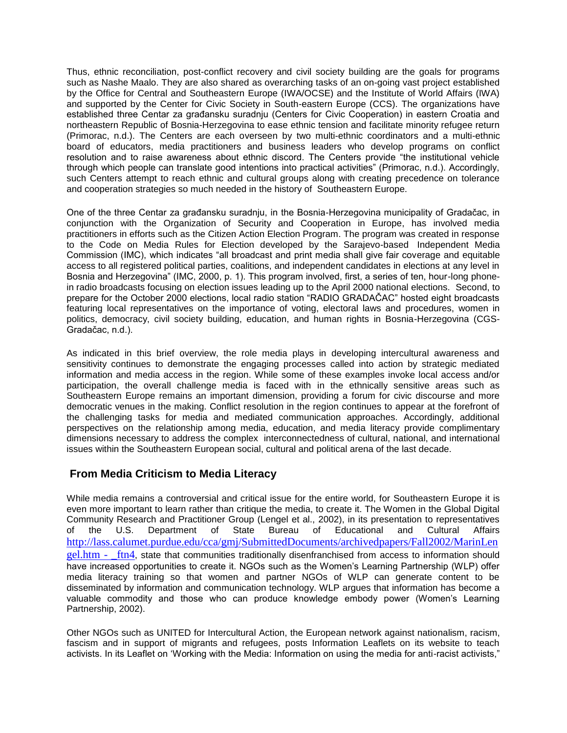Thus, ethnic reconciliation, post-conflict recovery and civil society building are the goals for programs such as Nashe Maalo. They are also shared as overarching tasks of an on-going vast project established by the Office for Central and Southeastern Europe (IWA/OCSE) and the Institute of World Affairs (IWA) and supported by the Center for Civic Society in South-eastern Europe (CCS). The organizations have established three Centar za građansku suradnju (Centers for Civic Cooperation) in eastern Croatia and northeastern Republic of Bosnia-Herzegovina to ease ethnic tension and facilitate minority refugee return (Primorac, n.d.). The Centers are each overseen by two multi-ethnic coordinators and a multi-ethnic board of educators, media practitioners and business leaders who develop programs on conflict resolution and to raise awareness about ethnic discord. The Centers provide "the institutional vehicle through which people can translate good intentions into practical activities" (Primorac, n.d.). Accordingly, such Centers attempt to reach ethnic and cultural groups along with creating precedence on tolerance and cooperation strategies so much needed in the history of Southeastern Europe.

One of the three Centar za građansku suradnju, in the Bosnia-Herzegovina municipality of Gradačac, in conjunction with the Organization of Security and Cooperation in Europe, has involved media practitioners in efforts such as the Citizen Action Election Program. The program was created in response to the Code on Media Rules for Election developed by the Sarajevo-based Independent Media Commission (IMC), which indicates "all broadcast and print media shall give fair coverage and equitable access to all registered political parties, coalitions, and independent candidates in elections at any level in Bosnia and Herzegovina" (IMC, 2000, p. 1). This program involved, first, a series of ten, hour-long phonein radio broadcasts focusing on election issues leading up to the April 2000 national elections. Second, to prepare for the October 2000 elections, local radio station "RADIO GRADAČAC" hosted eight broadcasts featuring local representatives on the importance of voting, electoral laws and procedures, women in politics, democracy, civil society building, education, and human rights in Bosnia-Herzegovina (CGS-Gradačac, n.d.).

As indicated in this brief overview, the role media plays in developing intercultural awareness and sensitivity continues to demonstrate the engaging processes called into action by strategic mediated information and media access in the region. While some of these examples invoke local access and/or participation, the overall challenge media is faced with in the ethnically sensitive areas such as Southeastern Europe remains an important dimension, providing a forum for civic discourse and more democratic venues in the making. Conflict resolution in the region continues to appear at the forefront of the challenging tasks for media and mediated communication approaches. Accordingly, additional perspectives on the relationship among media, education, and media literacy provide complimentary dimensions necessary to address the complex interconnectedness of cultural, national, and international issues within the Southeastern European social, cultural and political arena of the last decade.

## **From Media Criticism to Media Literacy**

While media remains a controversial and critical issue for the entire world, for Southeastern Europe it is even more important to learn rather than critique the media, to create it. The Women in the Global Digital Community Research and Practitioner Group (Lengel et al., 2002), in its presentation to representatives of the U.S. Department of State Bureau of Educational and Cultural Affairs [http://lass.calumet.purdue.edu/cca/gmj/SubmittedDocuments/archivedpapers/Fall2002/MarinLen](http://lass.calumet.purdue.edu/cca/gmj/SubmittedDocuments/archivedpapers/Fall2002/MarinLengel.htm#_ftn4) [gel.htm -](http://lass.calumet.purdue.edu/cca/gmj/SubmittedDocuments/archivedpapers/Fall2002/MarinLengel.htm#_ftn4) ftn4, state that communities traditionally disenfranchised from access to information should have increased opportunities to create it. NGOs such as the Women's Learning Partnership (WLP) offer media literacy training so that women and partner NGOs of WLP can generate content to be disseminated by information and communication technology. WLP argues that information has become a valuable commodity and those who can produce knowledge embody power (Women's Learning Partnership, 2002).

Other NGOs such as UNITED for Intercultural Action, the European network against nationalism, racism, fascism and in support of migrants and refugees, posts Information Leaflets on its website to teach activists. In its Leaflet on 'Working with the Media: Information on using the media for anti-racist activists,"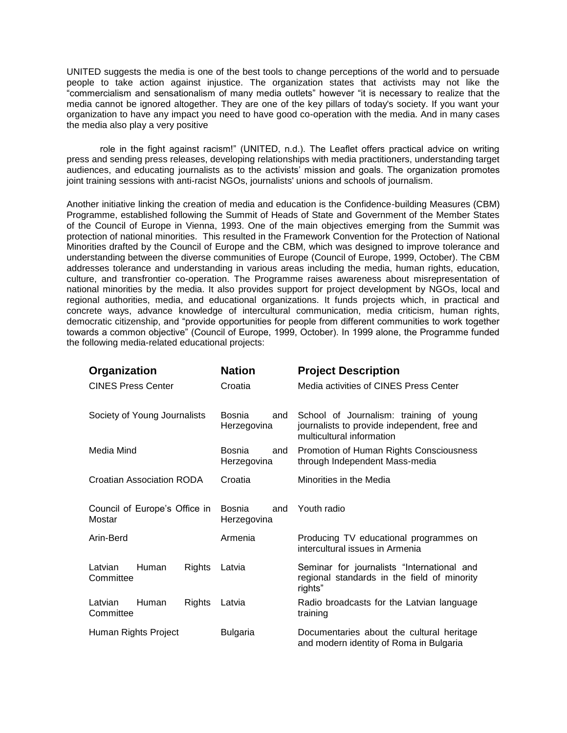UNITED suggests the media is one of the best tools to change perceptions of the world and to persuade people to take action against injustice. The organization states that activists may not like the "commercialism and sensationalism of many media outlets" however "it is necessary to realize that the media cannot be ignored altogether. They are one of the key pillars of today's society. If you want your organization to have any impact you need to have good co-operation with the media. And in many cases the media also play a very positive

role in the fight against racism!" (UNITED, n.d.). The Leaflet offers practical advice on writing press and sending press releases, developing relationships with media practitioners, understanding target audiences, and educating journalists as to the activists' mission and goals. The organization promotes joint training sessions with anti-racist NGOs, journalists' unions and schools of journalism.

Another initiative linking the creation of media and education is the Confidence-building Measures (CBM) Programme, established following the Summit of Heads of State and Government of the Member States of the Council of Europe in Vienna, 1993. One of the main objectives emerging from the Summit was protection of national minorities. This resulted in the Framework Convention for the Protection of National Minorities drafted by the Council of Europe and the CBM, which was designed to improve tolerance and understanding between the diverse communities of Europe (Council of Europe, 1999, October). The CBM addresses tolerance and understanding in various areas including the media, human rights, education, culture, and transfrontier co-operation. The Programme raises awareness about misrepresentation of national minorities by the media. It also provides support for project development by NGOs, local and regional authorities, media, and educational organizations. It funds projects which, in practical and concrete ways, advance knowledge of intercultural communication, media criticism, human rights, democratic citizenship, and "provide opportunities for people from different communities to work together towards a common objective" (Council of Europe, 1999, October). In 1999 alone, the Programme funded the following media-related educational projects:

| Organization                                   | <b>Nation</b>                       | <b>Project Description</b>                                                                                           |
|------------------------------------------------|-------------------------------------|----------------------------------------------------------------------------------------------------------------------|
| <b>CINES Press Center</b>                      | Croatia                             | Media activities of CINES Press Center                                                                               |
| Society of Young Journalists                   | <b>Bosnia</b><br>and<br>Herzegovina | School of Journalism: training of young<br>journalists to provide independent, free and<br>multicultural information |
| Media Mind                                     | <b>Bosnia</b><br>and<br>Herzegovina | Promotion of Human Rights Consciousness<br>through Independent Mass-media                                            |
| Croatian Association RODA                      | Croatia                             | Minorities in the Media                                                                                              |
| Council of Europe's Office in<br>Mostar        | <b>Bosnia</b><br>and<br>Herzegovina | Youth radio                                                                                                          |
| Arin-Berd                                      | Armenia                             | Producing TV educational programmes on<br>intercultural issues in Armenia                                            |
| Latvian<br>Human<br>Rights<br>Committee        | Latvia                              | Seminar for journalists "International and<br>regional standards in the field of minority<br>rights"                 |
| Latvian<br>Human<br><b>Rights</b><br>Committee | Latvia                              | Radio broadcasts for the Latvian language<br>training                                                                |
| Human Rights Project                           | <b>Bulgaria</b>                     | Documentaries about the cultural heritage<br>and modern identity of Roma in Bulgaria                                 |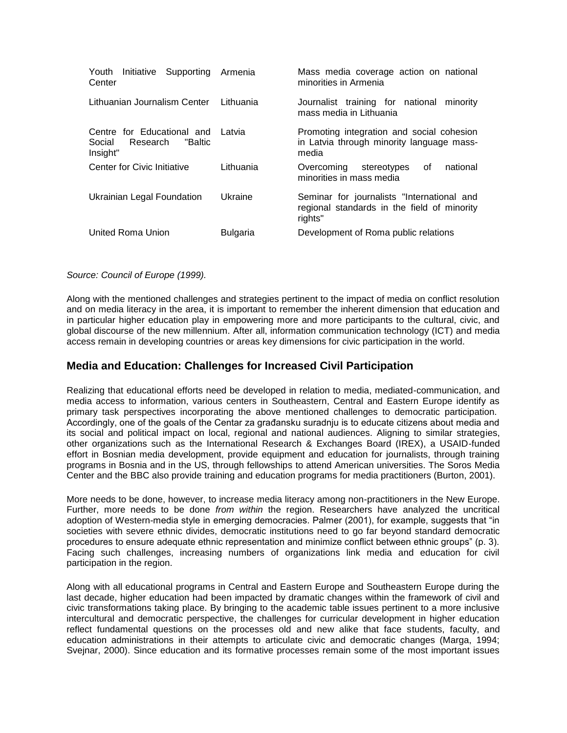| Youth Initiative<br>Supporting Armenia<br>Center                        |                 | Mass media coverage action on national<br>minorities in Armenia                                      |
|-------------------------------------------------------------------------|-----------------|------------------------------------------------------------------------------------------------------|
| Lithuanian Journalism Center                                            | Lithuania       | Journalist training for national<br>minority<br>mass media in Lithuania                              |
| Centre for Educational and<br>Social<br>Research<br>"Baltic<br>Insight" | Latvia          | Promoting integration and social cohesion<br>in Latvia through minority language mass-<br>media      |
| Center for Civic Initiative                                             | Lithuania       | national<br>0f<br>Overcoming stereotypes<br>minorities in mass media                                 |
| <b>Ukrainian Legal Foundation</b>                                       | Ukraine         | Seminar for journalists "International and<br>regional standards in the field of minority<br>rights" |
| United Roma Union                                                       | <b>Bulgaria</b> | Development of Roma public relations                                                                 |

#### *Source: Council of Europe (1999).*

Along with the mentioned challenges and strategies pertinent to the impact of media on conflict resolution and on media literacy in the area, it is important to remember the inherent dimension that education and in particular higher education play in empowering more and more participants to the cultural, civic, and global discourse of the new millennium. After all, information communication technology (ICT) and media access remain in developing countries or areas key dimensions for civic participation in the world.

### **Media and Education: Challenges for Increased Civil Participation**

Realizing that educational efforts need be developed in relation to media, mediated-communication, and media access to information, various centers in Southeastern, Central and Eastern Europe identify as primary task perspectives incorporating the above mentioned challenges to democratic participation. Accordingly, one of the goals of the Centar za građansku suradnju is to educate citizens about media and its social and political impact on local, regional and national audiences. Aligning to similar strategies, other organizations such as the International Research & Exchanges Board (IREX), a USAID-funded effort in Bosnian media development, provide equipment and education for journalists, through training programs in Bosnia and in the US, through fellowships to attend American universities. The Soros Media Center and the BBC also provide training and education programs for media practitioners (Burton, 2001).

More needs to be done, however, to increase media literacy among non-practitioners in the New Europe. Further, more needs to be done *from within* the region. Researchers have analyzed the uncritical adoption of Western-media style in emerging democracies. Palmer (2001), for example, suggests that "in societies with severe ethnic divides, democratic institutions need to go far beyond standard democratic procedures to ensure adequate ethnic representation and minimize conflict between ethnic groups" (p. 3). Facing such challenges, increasing numbers of organizations link media and education for civil participation in the region.

Along with all educational programs in Central and Eastern Europe and Southeastern Europe during the last decade, higher education had been impacted by dramatic changes within the framework of civil and civic transformations taking place. By bringing to the academic table issues pertinent to a more inclusive intercultural and democratic perspective, the challenges for curricular development in higher education reflect fundamental questions on the processes old and new alike that face students, faculty, and education administrations in their attempts to articulate civic and democratic changes (Marga, 1994; Svejnar, 2000). Since education and its formative processes remain some of the most important issues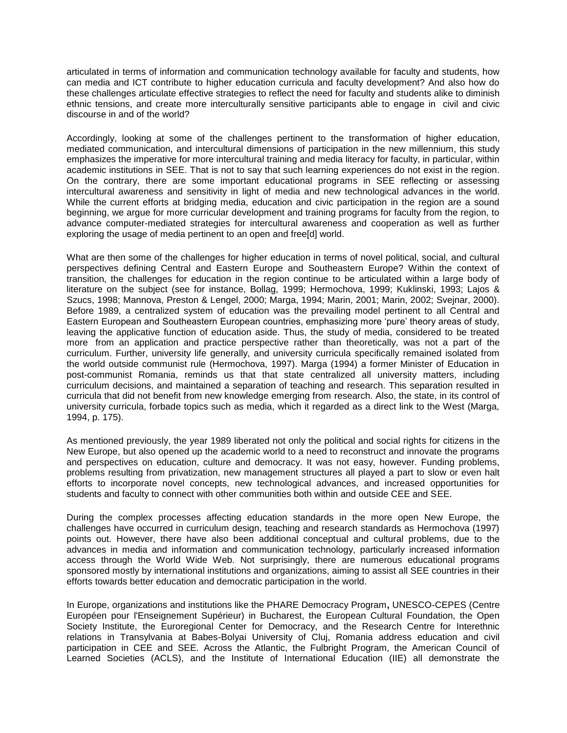articulated in terms of information and communication technology available for faculty and students, how can media and ICT contribute to higher education curricula and faculty development? And also how do these challenges articulate effective strategies to reflect the need for faculty and students alike to diminish ethnic tensions, and create more interculturally sensitive participants able to engage in civil and civic discourse in and of the world?

Accordingly, looking at some of the challenges pertinent to the transformation of higher education, mediated communication, and intercultural dimensions of participation in the new millennium, this study emphasizes the imperative for more intercultural training and media literacy for faculty, in particular, within academic institutions in SEE. That is not to say that such learning experiences do not exist in the region. On the contrary, there are some important educational programs in SEE reflecting or assessing intercultural awareness and sensitivity in light of media and new technological advances in the world. While the current efforts at bridging media, education and civic participation in the region are a sound beginning, we argue for more curricular development and training programs for faculty from the region, to advance computer-mediated strategies for intercultural awareness and cooperation as well as further exploring the usage of media pertinent to an open and free[d] world.

What are then some of the challenges for higher education in terms of novel political, social, and cultural perspectives defining Central and Eastern Europe and Southeastern Europe? Within the context of transition, the challenges for education in the region continue to be articulated within a large body of literature on the subject (see for instance, Bollag, 1999; Hermochova, 1999; Kuklinski, 1993; Lajos & Szucs, 1998; Mannova, Preston & Lengel, 2000; Marga, 1994; Marin, 2001; Marin, 2002; Svejnar, 2000). Before 1989, a centralized system of education was the prevailing model pertinent to all Central and Eastern European and Southeastern European countries, emphasizing more 'pure' theory areas of study, leaving the applicative function of education aside. Thus, the study of media, considered to be treated more from an application and practice perspective rather than theoretically, was not a part of the curriculum. Further, university life generally, and university curricula specifically remained isolated from the world outside communist rule (Hermochova, 1997). Marga (1994) a former Minister of Education in post-communist Romania, reminds us that that state centralized all university matters, including curriculum decisions, and maintained a separation of teaching and research. This separation resulted in curricula that did not benefit from new knowledge emerging from research. Also, the state, in its control of university curricula, forbade topics such as media, which it regarded as a direct link to the West (Marga, 1994, p. 175).

As mentioned previously, the year 1989 liberated not only the political and social rights for citizens in the New Europe, but also opened up the academic world to a need to reconstruct and innovate the programs and perspectives on education, culture and democracy. It was not easy, however. Funding problems, problems resulting from privatization, new management structures all played a part to slow or even halt efforts to incorporate novel concepts, new technological advances, and increased opportunities for students and faculty to connect with other communities both within and outside CEE and SEE.

During the complex processes affecting education standards in the more open New Europe, the challenges have occurred in curriculum design, teaching and research standards as Hermochova (1997) points out. However, there have also been additional conceptual and cultural problems, due to the advances in media and information and communication technology, particularly increased information access through the World Wide Web. Not surprisingly, there are numerous educational programs sponsored mostly by international institutions and organizations, aiming to assist all SEE countries in their efforts towards better education and democratic participation in the world.

In Europe, organizations and institutions like the PHARE Democracy Program**,** UNESCO-CEPES (Centre Européen pour l'Enseignement Supérieur) in Bucharest, the European Cultural Foundation, the Open Society Institute, the Euroregional Center for Democracy, and the Research Centre for Interethnic relations in Transylvania at Babes-Bolyai University of Cluj, Romania address education and civil participation in CEE and SEE. Across the Atlantic, the Fulbright Program, the American Council of Learned Societies (ACLS), and the Institute of International Education (IIE) all demonstrate the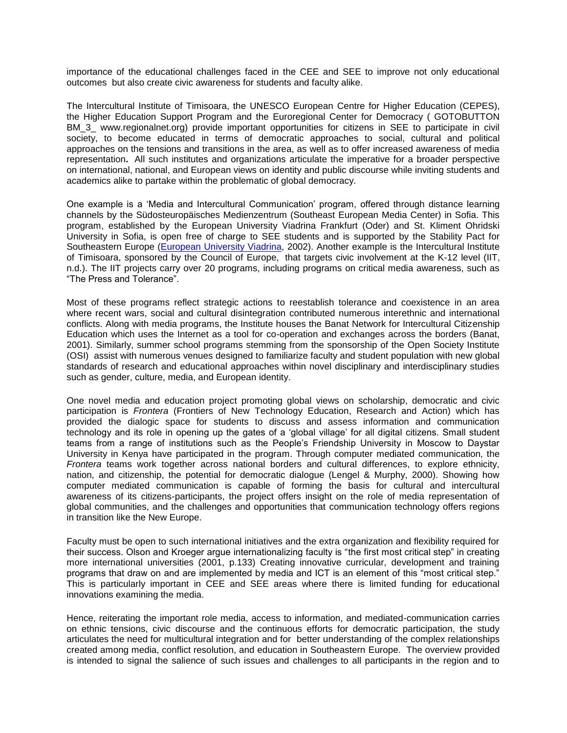importance of the educational challenges faced in the CEE and SEE to improve not only educational outcomes but also create civic awareness for students and faculty alike.

The Intercultural Institute of Timisoara, the UNESCO European Centre for Higher Education (CEPES), the Higher Education Support Program and the Euroregional Center for Democracy ( GOTOBUTTON BM\_3\_ www.regionalnet.org) provide important opportunities for citizens in SEE to participate in civil society, to become educated in terms of democratic approaches to social, cultural and political approaches on the tensions and transitions in the area, as well as to offer increased awareness of media representation**.** All such institutes and organizations articulate the imperative for a broader perspective on international, national, and European views on identity and public discourse while inviting students and academics alike to partake within the problematic of global democracy.

One example is a 'Media and Intercultural Communication' program, offered through distance learning channels by the Südosteuropäisches Medienzentrum (Southeast European Media Center) in Sofia. This program, established by the European University Viadrina Frankfurt (Oder) and St. Kliment Ohridski University in Sofia, is open free of charge to SEE students and is supported by the Stability Pact for Southeastern Europe [\(European University Viadrina,](http://www.euv-frankfurt-o.de/) 2002). Another example is the Intercultural Institute of Timisoara, sponsored by the Council of Europe, that targets civic involvement at the K-12 level (IIT, n.d.). The IIT projects carry over 20 programs, including programs on critical media awareness, such as "The Press and Tolerance".

Most of these programs reflect strategic actions to reestablish tolerance and coexistence in an area where recent wars, social and cultural disintegration contributed numerous interethnic and international conflicts. Along with media programs, the Institute houses the Banat Network for Intercultural Citizenship Education which uses the Internet as a tool for co-operation and exchanges across the borders (Banat, 2001). Similarly, summer school programs stemming from the sponsorship of the Open Society Institute (OSI) assist with numerous venues designed to familiarize faculty and student population with new global standards of research and educational approaches within novel disciplinary and interdisciplinary studies such as gender, culture, media, and European identity.

One novel media and education project promoting global views on scholarship, democratic and civic participation is *Frontera* (Frontiers of New Technology Education, Research and Action) which has provided the dialogic space for students to discuss and assess information and communication technology and its role in opening up the gates of a 'global village' for all digital citizens. Small student teams from a range of institutions such as the People's Friendship University in Moscow to Daystar University in Kenya have participated in the program. Through computer mediated communication, the *Frontera* teams work together across national borders and cultural differences, to explore ethnicity, nation, and citizenship, the potential for democratic dialogue (Lengel & Murphy, 2000). Showing how computer mediated communication is capable of forming the basis for cultural and intercultural awareness of its citizens-participants, the project offers insight on the role of media representation of global communities, and the challenges and opportunities that communication technology offers regions in transition like the New Europe.

Faculty must be open to such international initiatives and the extra organization and flexibility required for their success. Olson and Kroeger argue internationalizing faculty is "the first most critical step" in creating more international universities (2001, p.133) Creating innovative curricular, development and training programs that draw on and are implemented by media and ICT is an element of this "most critical step." This is particularly important in CEE and SEE areas where there is limited funding for educational innovations examining the media.

Hence, reiterating the important role media, access to information, and mediated-communication carries on ethnic tensions, civic discourse and the continuous efforts for democratic participation, the study articulates the need for multicultural integration and for better understanding of the complex relationships created among media, conflict resolution, and education in Southeastern Europe. The overview provided is intended to signal the salience of such issues and challenges to all participants in the region and to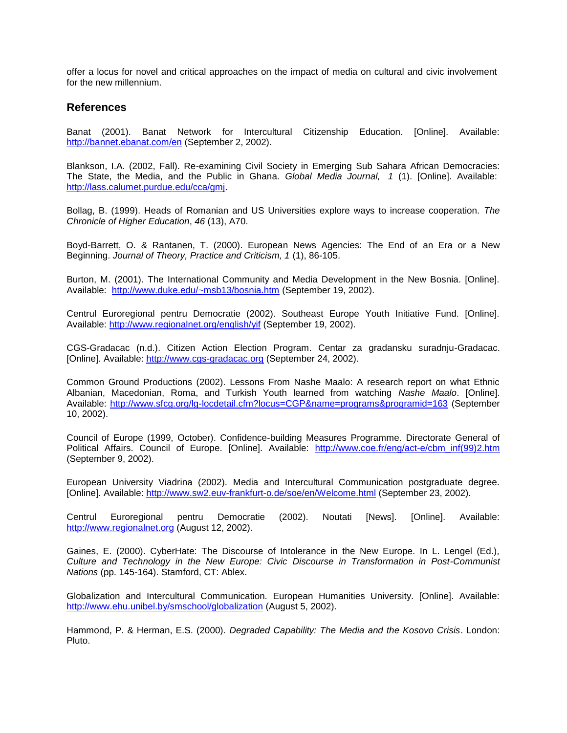offer a locus for novel and critical approaches on the impact of media on cultural and civic involvement for the new millennium.

### **References**

Banat (2001). Banat Network for Intercultural Citizenship Education. [Online]. Available: <http://bannet.ebanat.com/en> (September 2, 2002).

Blankson, I.A. (2002, Fall). Re-examining Civil Society in Emerging Sub Sahara African Democracies: The State, the Media, and the Public in Ghana. *Global Media Journal, 1* (1). [Online]. Available: [http://lass.calumet.purdue.edu/cca/gmj.](http://lass.calumet.purdue.edu/cca/gmj)

Bollag, B. (1999). Heads of Romanian and US Universities explore ways to increase cooperation. *The Chronicle of Higher Education*, *46* (13), A70.

Boyd-Barrett, O. & Rantanen, T. (2000). European News Agencies: The End of an Era or a New Beginning. *Journal of Theory, Practice and Criticism, 1* (1), 86-105.

Burton, M. (2001). The International Community and Media Development in the New Bosnia. [Online]. Available: <http://www.duke.edu/~msb13/bosnia.htm> (September 19, 2002).

Centrul Euroregional pentru Democratie (2002). Southeast Europe Youth Initiative Fund. [Online]. Available:<http://www.regionalnet.org/english/yif> (September 19, 2002).

CGS-Gradacac (n.d.). Citizen Action Election Program. Centar za gradansku suradnju-Gradacac. [Online]. Available: [http://www.cgs-gradacac.org](http://www.cgs-gradacac.org/) (September 24, 2002).

Common Ground Productions (2002). Lessons From Nashe Maalo: A research report on what Ethnic Albanian, Macedonian, Roma, and Turkish Youth learned from watching *Nashe Maalo*. [Online]. Available: <http://www.sfcg.org/lg-locdetail.cfm?locus=CGP&name=programs&programid=163> (September 10, 2002).

Council of Europe (1999, October). Confidence-building Measures Programme. Directorate General of Political Affairs. Council of Europe. [Online]. Available: [http://www.coe.fr/eng/act-e/cbm\\_inf\(99\)2.htm](http://www.coe.fr/eng/act-e/cbm_inf%2899%292.htm) (September 9, 2002).

European University Viadrina (2002). Media and Intercultural Communication postgraduate degree. [Online]. Available:<http://www.sw2.euv-frankfurt-o.de/soe/en/Welcome.html> (September 23, 2002).

Centrul Euroregional pentru Democratie (2002). Noutati [News]. [Online]. Available: [http://www.regionalnet.org](http://www.regionalnet.org/) (August 12, 2002).

Gaines, E. (2000). CyberHate: The Discourse of Intolerance in the New Europe. In L. Lengel (Ed.), *Culture and Technology in the New Europe: Civic Discourse in Transformation in Post-Communist Nations* (pp. 145-164). Stamford, CT: Ablex.

Globalization and Intercultural Communication. European Humanities University. [Online]. Available: [http://www.ehu.unibel.by/smschool/globalization](http://www.ehu.unibel.by/smschool/globalization/) (August 5, 2002).

Hammond, P. & Herman, E.S. (2000). *Degraded Capability: The Media and the Kosovo Crisis*. London: Pluto.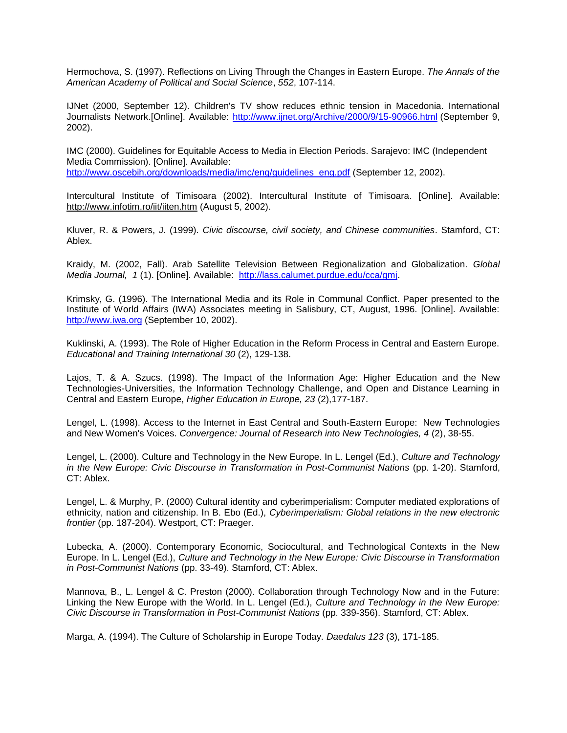Hermochova, S. (1997). Reflections on Living Through the Changes in Eastern Europe. *The Annals of the American Academy of Political and Social Science*, *552*, 107-114.

IJNet (2000, September 12). Children's TV show reduces ethnic tension in Macedonia. International Journalists Network.[Online]. Available:<http://www.ijnet.org/Archive/2000/9/15-90966.html> (September 9, 2002).

IMC (2000). Guidelines for Equitable Access to Media in Election Periods. Sarajevo: IMC (Independent Media Commission). [Online]. Available: [http://www.oscebih.org/downloads/media/imc/eng/guidelines\\_eng.pdf](http://www.oscebih.org/downloads/media/imc/eng/guidelines_eng.pdf) (September 12, 2002).

Intercultural Institute of Timisoara (2002). Intercultural Institute of Timisoara. [Online]. Available: http://www.infotim.ro/iit/iiten.htm (August 5, 2002).

Kluver, R. & Powers, J. (1999). *Civic discourse, civil society, and Chinese communities*. Stamford, CT: Ablex.

Kraidy, M. (2002, Fall). Arab Satellite Television Between Regionalization and Globalization. *Global Media Journal, 1* (1). [Online]. Available: [http://lass.calumet.purdue.edu/cca/gmj.](http://lass.calumet.purdue.edu/cca/gmj)

Krimsky, G. (1996). The International Media and its Role in Communal Conflict. Paper presented to the Institute of World Affairs (IWA) Associates meeting in Salisbury, CT, August, 1996. [Online]. Available: [http://www.iwa.org](http://www.iwa.org/) (September 10, 2002).

Kuklinski, A. (1993). The Role of Higher Education in the Reform Process in Central and Eastern Europe. *Educational and Training International 30* (2), 129-138.

Lajos, T. & A. Szucs. (1998). The Impact of the Information Age: Higher Education and the New Technologies-Universities, the Information Technology Challenge, and Open and Distance Learning in Central and Eastern Europe, *Higher Education in Europe, 23* (2),177-187.

Lengel, L. (1998). Access to the Internet in East Central and South-Eastern Europe: New Technologies and New Women's Voices. *Convergence: Journal of Research into New Technologies, 4* (2), 38-55.

Lengel, L. (2000). Culture and Technology in the New Europe. In L. Lengel (Ed.), *Culture and Technology in the New Europe: Civic Discourse in Transformation in Post-Communist Nations* (pp. 1-20). Stamford, CT: Ablex.

Lengel, L. & Murphy, P. (2000) Cultural identity and cyberimperialism: Computer mediated explorations of ethnicity, nation and citizenship. In B. Ebo (Ed.), *Cyberimperialism: Global relations in the new electronic frontier* (pp. 187-204). Westport, CT: Praeger.

Lubecka, A. (2000). Contemporary Economic, Sociocultural, and Technological Contexts in the New Europe. In L. Lengel (Ed.), *Culture and Technology in the New Europe: Civic Discourse in Transformation in Post-Communist Nations* (pp. 33-49). Stamford, CT: Ablex.

Mannova, B., L. Lengel & C. Preston (2000). Collaboration through Technology Now and in the Future: Linking the New Europe with the World. In L. Lengel (Ed.), *Culture and Technology in the New Europe: Civic Discourse in Transformation in Post-Communist Nations* (pp. 339-356). Stamford, CT: Ablex.

Marga, A. (1994). The Culture of Scholarship in Europe Today. *Daedalus 123* (3), 171-185.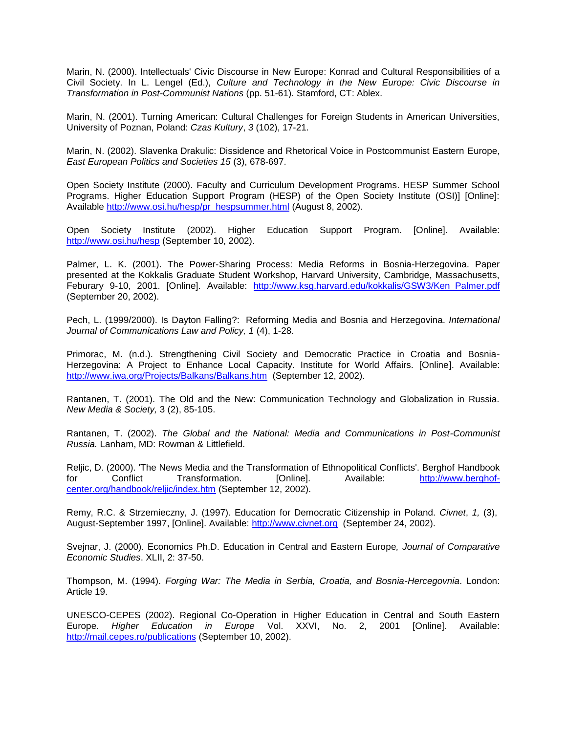Marin, N. (2000). Intellectuals' Civic Discourse in New Europe: Konrad and Cultural Responsibilities of a Civil Society. In L. Lengel (Ed.), *Culture and Technology in the New Europe: Civic Discourse in Transformation in Post-Communist Nations* (pp. 51-61). Stamford, CT: Ablex.

Marin, N. (2001). Turning American: Cultural Challenges for Foreign Students in American Universities, University of Poznan, Poland: *Czas Kultury*, *3* (102), 17-21.

Marin, N. (2002). Slavenka Drakulic: Dissidence and Rhetorical Voice in Postcommunist Eastern Europe, *East European Politics and Societies 15* (3), 678-697.

Open Society Institute (2000). Faculty and Curriculum Development Programs. HESP Summer School Programs. Higher Education Support Program (HESP) of the Open Society Institute (OSI)] [Online]: Available [http://www.osi.hu/hesp/pr\\_hespsummer.html](http://www.osi.hu/hesp/pr_hespsummer.html) (August 8, 2002).

Open Society Institute (2002). Higher Education Support Program. [Online]. Available: <http://www.osi.hu/hesp> (September 10, 2002).

Palmer, L. K. (2001). The Power-Sharing Process: Media Reforms in Bosnia-Herzegovina. Paper presented at the Kokkalis Graduate Student Workshop, Harvard University, Cambridge, Massachusetts, Feburary 9-10, 2001. [Online]. Available: [http://www.ksg.harvard.edu/kokkalis/GSW3/Ken\\_Palmer.pdf](http://www.ksg.harvard.edu/kokkalis/GSW3/Ken_Palmer.pdf) (September 20, 2002).

Pech, L. (1999/2000). Is Dayton Falling?: Reforming Media and Bosnia and Herzegovina. *International Journal of Communications Law and Policy, 1* (4), 1-28.

Primorac, M. (n.d.). Strengthening Civil Society and Democratic Practice in Croatia and Bosnia-Herzegovina: A Project to Enhance Local Capacity. Institute for World Affairs. [Online]. Available: <http://www.iwa.org/Projects/Balkans/Balkans.htm> (September 12, 2002).

Rantanen, T. (2001). The Old and the New: Communication Technology and Globalization in Russia. *New Media & Society,* 3 (2), 85-105.

Rantanen, T. (2002). *The Global and the National: Media and Communications in Post-Communist Russia.* Lanham, MD: Rowman & Littlefield.

Reljic, D. (2000). 'The News Media and the Transformation of Ethnopolitical Conflicts'. Berghof Handbook for Conflict Transformation. [Online]. Available: [http://www.berghof](http://www.berghof-center.org/handbook/reljic/index.htm)[center.org/handbook/reljic/index.htm](http://www.berghof-center.org/handbook/reljic/index.htm) (September 12, 2002).

Remy, R.C. & Strzemieczny, J. (1997). Education for Democratic Citizenship in Poland. *Civnet*, *1,* (3), August-September 1997, [Online]. Available: [http://www.civnet.org](http://www.civnet.org/) (September 24, 2002).

Svejnar, J. (2000). Economics Ph.D. Education in Central and Eastern Europe*, Journal of Comparative Economic Studies*. XLII, 2: 37-50.

Thompson, M. (1994). *Forging War: The Media in Serbia, Croatia, and Bosnia-Hercegovnia*. London: Article 19.

UNESCO-CEPES (2002). Regional Co-Operation in Higher Education in Central and South Eastern Europe. *Higher Education in Europe* Vol. XXVI, No. 2, 2001 [Online]. Available: <http://mail.cepes.ro/publications> (September 10, 2002).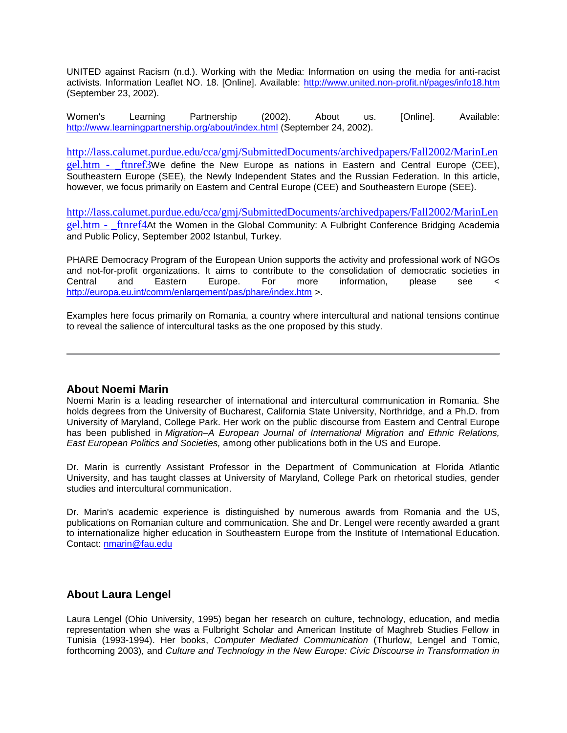UNITED against Racism (n.d.). Working with the Media: Information on using the media for anti-racist activists. Information Leaflet NO. 18. [Online]. Available:<http://www.united.non-profit.nl/pages/info18.htm> (September 23, 2002).

Women's Learning Partnership (2002). About us. [Online]. Available: <http://www.learningpartnership.org/about/index.html> (September 24, 2002).

[http://lass.calumet.purdue.edu/cca/gmj/SubmittedDocuments/archivedpapers/Fall2002/MarinLen](http://lass.calumet.purdue.edu/cca/gmj/SubmittedDocuments/archivedpapers/Fall2002/MarinLengel.htm#_ftnref3) [gel.htm -](http://lass.calumet.purdue.edu/cca/gmj/SubmittedDocuments/archivedpapers/Fall2002/MarinLengel.htm#_ftnref3) \_ftnref3We define the New Europe as nations in Eastern and Central Europe (CEE), Southeastern Europe (SEE), the Newly Independent States and the Russian Federation. In this article, however, we focus primarily on Eastern and Central Europe (CEE) and Southeastern Europe (SEE).

[http://lass.calumet.purdue.edu/cca/gmj/SubmittedDocuments/archivedpapers/Fall2002/MarinLen](http://lass.calumet.purdue.edu/cca/gmj/SubmittedDocuments/archivedpapers/Fall2002/MarinLengel.htm#_ftnref4) [gel.htm -](http://lass.calumet.purdue.edu/cca/gmj/SubmittedDocuments/archivedpapers/Fall2002/MarinLengel.htm#_ftnref4) ftnref4At the Women in the Global Community: A Fulbright Conference Bridging Academia and Public Policy, September 2002 Istanbul, Turkey.

PHARE Democracy Program of the European Union supports the activity and professional work of NGOs and not-for-profit organizations. It aims to contribute to the consolidation of democratic societies in Central and Eastern Europe. For more information, please see < <http://europa.eu.int/comm/enlargement/pas/phare/index.htm> >.

Examples here focus primarily on Romania, a country where intercultural and national tensions continue to reveal the salience of intercultural tasks as the one proposed by this study.

### **About Noemi Marin**

Noemi Marin is a leading researcher of international and intercultural communication in Romania. She holds degrees from the University of Bucharest, California State University, Northridge, and a Ph.D. from University of Maryland, College Park. Her work on the public discourse from Eastern and Central Europe has been published in *Migration–A European Journal of International Migration and Ethnic Relations, East European Politics and Societies,* among other publications both in the US and Europe.

Dr. Marin is currently Assistant Professor in the Department of Communication at Florida Atlantic University, and has taught classes at University of Maryland, College Park on rhetorical studies, gender studies and intercultural communication.

Dr. Marin's academic experience is distinguished by numerous awards from Romania and the US, publications on Romanian culture and communication. She and Dr. Lengel were recently awarded a grant to internationalize higher education in Southeastern Europe from the Institute of International Education. Contact: [nmarin@fau.edu](mailto:nmarin@fau.edu)

### **About Laura Lengel**

Laura Lengel (Ohio University, 1995) began her research on culture, technology, education, and media representation when she was a Fulbright Scholar and American Institute of Maghreb Studies Fellow in Tunisia (1993-1994). Her books, *Computer Mediated Communication* (Thurlow, Lengel and Tomic, forthcoming 2003), and *Culture and Technology in the New Europe: Civic Discourse in Transformation in*